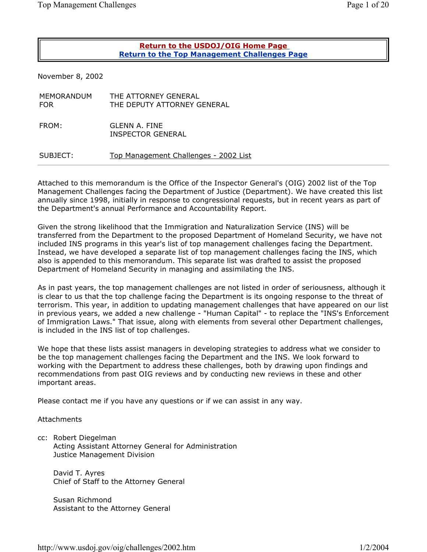| Page 1 of 2 |  | e |  |
|-------------|--|---|--|
|-------------|--|---|--|

## **Return to the USDOJ/OIG Home Page Return to the Top Management Challenges Page**

November 8, 2002

| MEMORANDUM<br><b>FOR</b> | THE ATTORNEY GENERAL<br>THE DEPUTY ATTORNEY GENERAL |
|--------------------------|-----------------------------------------------------|
| FROM:                    | GLENN A. FINE<br>INSPECTOR GENERAL                  |
| SUBJECT:                 | Top Management Challenges - 2002 List               |
|                          |                                                     |

Attached to this memorandum is the Office of the Inspector General's (OIG) 2002 list of the Top Management Challenges facing the Department of Justice (Department). We have created this list annually since 1998, initially in response to congressional requests, but in recent years as part of the Department's annual Performance and Accountability Report.

Given the strong likelihood that the Immigration and Naturalization Service (INS) will be transferred from the Department to the proposed Department of Homeland Security, we have not included INS programs in this year's list of top management challenges facing the Department. Instead, we have developed a separate list of top management challenges facing the INS, which also is appended to this memorandum. This separate list was drafted to assist the proposed Department of Homeland Security in managing and assimilating the INS.

As in past years, the top management challenges are not listed in order of seriousness, although it is clear to us that the top challenge facing the Department is its ongoing response to the threat of terrorism. This year, in addition to updating management challenges that have appeared on our list in previous years, we added a new challenge - "Human Capital" - to replace the "INS's Enforcement of Immigration Laws." That issue, along with elements from several other Department challenges, is included in the INS list of top challenges.

We hope that these lists assist managers in developing strategies to address what we consider to be the top management challenges facing the Department and the INS. We look forward to working with the Department to address these challenges, both by drawing upon findings and recommendations from past OIG reviews and by conducting new reviews in these and other important areas.

Please contact me if you have any questions or if we can assist in any way.

## **Attachments**

cc: Robert Diegelman Acting Assistant Attorney General for Administration Justice Management Division

David T. Ayres Chief of Staff to the Attorney General

Susan Richmond Assistant to the Attorney General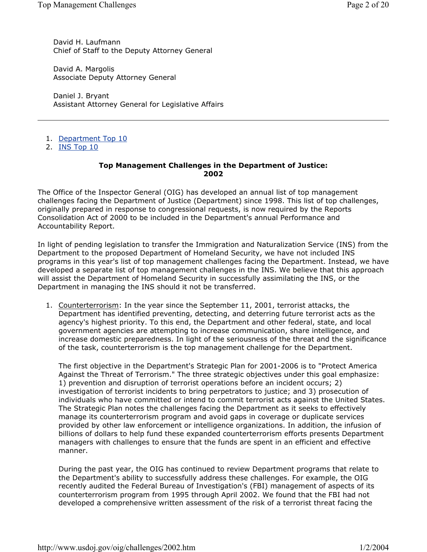David H. Laufmann Chief of Staff to the Deputy Attorney General

David A. Margolis Associate Deputy Attorney General

Daniel J. Bryant Assistant Attorney General for Legislative Affairs

- 1. Department Top 10
- 2. INS Top 10

## **Top Management Challenges in the Department of Justice: 2002**

The Office of the Inspector General (OIG) has developed an annual list of top management challenges facing the Department of Justice (Department) since 1998. This list of top challenges, originally prepared in response to congressional requests, is now required by the Reports Consolidation Act of 2000 to be included in the Department's annual Performance and Accountability Report.

In light of pending legislation to transfer the Immigration and Naturalization Service (INS) from the Department to the proposed Department of Homeland Security, we have not included INS programs in this year's list of top management challenges facing the Department. Instead, we have developed a separate list of top management challenges in the INS. We believe that this approach will assist the Department of Homeland Security in successfully assimilating the INS, or the Department in managing the INS should it not be transferred.

1. Counterterrorism: In the year since the September 11, 2001, terrorist attacks, the Department has identified preventing, detecting, and deterring future terrorist acts as the agency's highest priority. To this end, the Department and other federal, state, and local government agencies are attempting to increase communication, share intelligence, and increase domestic preparedness. In light of the seriousness of the threat and the significance of the task, counterterrorism is the top management challenge for the Department.

The first objective in the Department's Strategic Plan for 2001-2006 is to "Protect America Against the Threat of Terrorism." The three strategic objectives under this goal emphasize: 1) prevention and disruption of terrorist operations before an incident occurs; 2) investigation of terrorist incidents to bring perpetrators to justice; and 3) prosecution of individuals who have committed or intend to commit terrorist acts against the United States. The Strategic Plan notes the challenges facing the Department as it seeks to effectively manage its counterterrorism program and avoid gaps in coverage or duplicate services provided by other law enforcement or intelligence organizations. In addition, the infusion of billions of dollars to help fund these expanded counterterrorism efforts presents Department managers with challenges to ensure that the funds are spent in an efficient and effective manner.

During the past year, the OIG has continued to review Department programs that relate to the Department's ability to successfully address these challenges. For example, the OIG recently audited the Federal Bureau of Investigation's (FBI) management of aspects of its counterterrorism program from 1995 through April 2002. We found that the FBI had not developed a comprehensive written assessment of the risk of a terrorist threat facing the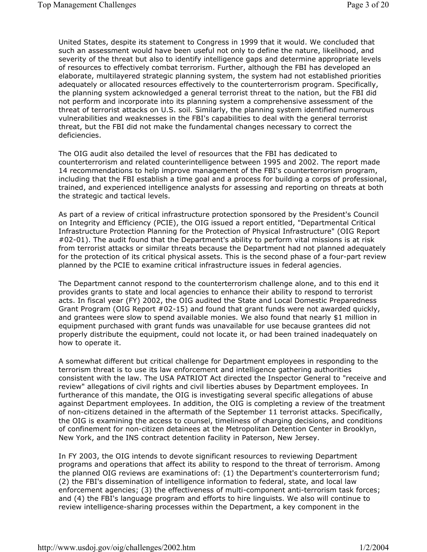United States, despite its statement to Congress in 1999 that it would. We concluded that such an assessment would have been useful not only to define the nature, likelihood, and severity of the threat but also to identify intelligence gaps and determine appropriate levels of resources to effectively combat terrorism. Further, although the FBI has developed an elaborate, multilayered strategic planning system, the system had not established priorities adequately or allocated resources effectively to the counterterrorism program. Specifically, the planning system acknowledged a general terrorist threat to the nation, but the FBI did not perform and incorporate into its planning system a comprehensive assessment of the threat of terrorist attacks on U.S. soil. Similarly, the planning system identified numerous vulnerabilities and weaknesses in the FBI's capabilities to deal with the general terrorist threat, but the FBI did not make the fundamental changes necessary to correct the deficiencies.

The OIG audit also detailed the level of resources that the FBI has dedicated to counterterrorism and related counterintelligence between 1995 and 2002. The report made 14 recommendations to help improve management of the FBI's counterterrorism program, including that the FBI establish a time goal and a process for building a corps of professional, trained, and experienced intelligence analysts for assessing and reporting on threats at both the strategic and tactical levels.

As part of a review of critical infrastructure protection sponsored by the President's Council on Integrity and Efficiency (PCIE), the OIG issued a report entitled, "Departmental Critical Infrastructure Protection Planning for the Protection of Physical Infrastructure" (OIG Report #02-01). The audit found that the Department's ability to perform vital missions is at risk from terrorist attacks or similar threats because the Department had not planned adequately for the protection of its critical physical assets. This is the second phase of a four-part review planned by the PCIE to examine critical infrastructure issues in federal agencies.

The Department cannot respond to the counterterrorism challenge alone, and to this end it provides grants to state and local agencies to enhance their ability to respond to terrorist acts. In fiscal year (FY) 2002, the OIG audited the State and Local Domestic Preparedness Grant Program (OIG Report #02-15) and found that grant funds were not awarded quickly, and grantees were slow to spend available monies. We also found that nearly \$1 million in equipment purchased with grant funds was unavailable for use because grantees did not properly distribute the equipment, could not locate it, or had been trained inadequately on how to operate it.

A somewhat different but critical challenge for Department employees in responding to the terrorism threat is to use its law enforcement and intelligence gathering authorities consistent with the law. The USA PATRIOT Act directed the Inspector General to "receive and review" allegations of civil rights and civil liberties abuses by Department employees. In furtherance of this mandate, the OIG is investigating several specific allegations of abuse against Department employees. In addition, the OIG is completing a review of the treatment of non-citizens detained in the aftermath of the September 11 terrorist attacks. Specifically, the OIG is examining the access to counsel, timeliness of charging decisions, and conditions of confinement for non-citizen detainees at the Metropolitan Detention Center in Brooklyn, New York, and the INS contract detention facility in Paterson, New Jersey.

In FY 2003, the OIG intends to devote significant resources to reviewing Department programs and operations that affect its ability to respond to the threat of terrorism. Among the planned OIG reviews are examinations of: (1) the Department's counterterrorism fund; (2) the FBI's dissemination of intelligence information to federal, state, and local law enforcement agencies; (3) the effectiveness of multi-component anti-terrorism task forces; and (4) the FBI's language program and efforts to hire linguists. We also will continue to review intelligence-sharing processes within the Department, a key component in the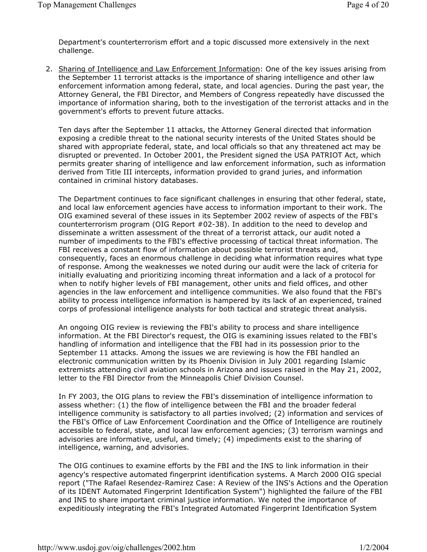Department's counterterrorism effort and a topic discussed more extensively in the next challenge.

2. Sharing of Intelligence and Law Enforcement Information: One of the key issues arising from the September 11 terrorist attacks is the importance of sharing intelligence and other law enforcement information among federal, state, and local agencies. During the past year, the Attorney General, the FBI Director, and Members of Congress repeatedly have discussed the importance of information sharing, both to the investigation of the terrorist attacks and in the government's efforts to prevent future attacks.

Ten days after the September 11 attacks, the Attorney General directed that information exposing a credible threat to the national security interests of the United States should be shared with appropriate federal, state, and local officials so that any threatened act may be disrupted or prevented. In October 2001, the President signed the USA PATRIOT Act, which permits greater sharing of intelligence and law enforcement information, such as information derived from Title III intercepts, information provided to grand juries, and information contained in criminal history databases.

The Department continues to face significant challenges in ensuring that other federal, state, and local law enforcement agencies have access to information important to their work. The OIG examined several of these issues in its September 2002 review of aspects of the FBI's counterterrorism program (OIG Report #02-38). In addition to the need to develop and disseminate a written assessment of the threat of a terrorist attack, our audit noted a number of impediments to the FBI's effective processing of tactical threat information. The FBI receives a constant flow of information about possible terrorist threats and, consequently, faces an enormous challenge in deciding what information requires what type of response. Among the weaknesses we noted during our audit were the lack of criteria for initially evaluating and prioritizing incoming threat information and a lack of a protocol for when to notify higher levels of FBI management, other units and field offices, and other agencies in the law enforcement and intelligence communities. We also found that the FBI's ability to process intelligence information is hampered by its lack of an experienced, trained corps of professional intelligence analysts for both tactical and strategic threat analysis.

An ongoing OIG review is reviewing the FBI's ability to process and share intelligence information. At the FBI Director's request, the OIG is examining issues related to the FBI's handling of information and intelligence that the FBI had in its possession prior to the September 11 attacks. Among the issues we are reviewing is how the FBI handled an electronic communication written by its Phoenix Division in July 2001 regarding Islamic extremists attending civil aviation schools in Arizona and issues raised in the May 21, 2002, letter to the FBI Director from the Minneapolis Chief Division Counsel.

In FY 2003, the OIG plans to review the FBI's dissemination of intelligence information to assess whether: (1) the flow of intelligence between the FBI and the broader federal intelligence community is satisfactory to all parties involved; (2) information and services of the FBI's Office of Law Enforcement Coordination and the Office of Intelligence are routinely accessible to federal, state, and local law enforcement agencies; (3) terrorism warnings and advisories are informative, useful, and timely; (4) impediments exist to the sharing of intelligence, warning, and advisories.

The OIG continues to examine efforts by the FBI and the INS to link information in their agency's respective automated fingerprint identification systems. A March 2000 OIG special report ("The Rafael Resendez-Ramirez Case: A Review of the INS's Actions and the Operation of its IDENT Automated Fingerprint Identification System") highlighted the failure of the FBI and INS to share important criminal justice information. We noted the importance of expeditiously integrating the FBI's Integrated Automated Fingerprint Identification System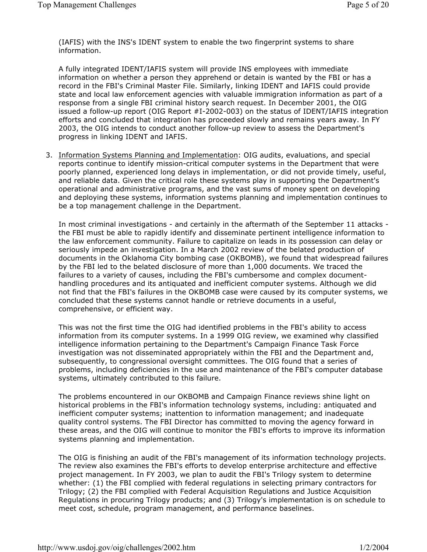(IAFIS) with the INS's IDENT system to enable the two fingerprint systems to share information.

A fully integrated IDENT/IAFIS system will provide INS employees with immediate information on whether a person they apprehend or detain is wanted by the FBI or has a record in the FBI's Criminal Master File. Similarly, linking IDENT and IAFIS could provide state and local law enforcement agencies with valuable immigration information as part of a response from a single FBI criminal history search request. In December 2001, the OIG issued a follow-up report (OIG Report #I-2002-003) on the status of IDENT/IAFIS integration efforts and concluded that integration has proceeded slowly and remains years away. In FY 2003, the OIG intends to conduct another follow-up review to assess the Department's progress in linking IDENT and IAFIS.

3. Information Systems Planning and Implementation: OIG audits, evaluations, and special reports continue to identify mission-critical computer systems in the Department that were poorly planned, experienced long delays in implementation, or did not provide timely, useful, and reliable data. Given the critical role these systems play in supporting the Department's operational and administrative programs, and the vast sums of money spent on developing and deploying these systems, information systems planning and implementation continues to be a top management challenge in the Department.

In most criminal investigations - and certainly in the aftermath of the September 11 attacks the FBI must be able to rapidly identify and disseminate pertinent intelligence information to the law enforcement community. Failure to capitalize on leads in its possession can delay or seriously impede an investigation. In a March 2002 review of the belated production of documents in the Oklahoma City bombing case (OKBOMB), we found that widespread failures by the FBI led to the belated disclosure of more than 1,000 documents. We traced the failures to a variety of causes, including the FBI's cumbersome and complex documenthandling procedures and its antiquated and inefficient computer systems. Although we did not find that the FBI's failures in the OKBOMB case were caused by its computer systems, we concluded that these systems cannot handle or retrieve documents in a useful, comprehensive, or efficient way.

This was not the first time the OIG had identified problems in the FBI's ability to access information from its computer systems. In a 1999 OIG review, we examined why classified intelligence information pertaining to the Department's Campaign Finance Task Force investigation was not disseminated appropriately within the FBI and the Department and, subsequently, to congressional oversight committees. The OIG found that a series of problems, including deficiencies in the use and maintenance of the FBI's computer database systems, ultimately contributed to this failure.

The problems encountered in our OKBOMB and Campaign Finance reviews shine light on historical problems in the FBI's information technology systems, including: antiquated and inefficient computer systems; inattention to information management; and inadequate quality control systems. The FBI Director has committed to moving the agency forward in these areas, and the OIG will continue to monitor the FBI's efforts to improve its information systems planning and implementation.

The OIG is finishing an audit of the FBI's management of its information technology projects. The review also examines the FBI's efforts to develop enterprise architecture and effective project management. In FY 2003, we plan to audit the FBI's Trilogy system to determine whether: (1) the FBI complied with federal regulations in selecting primary contractors for Trilogy; (2) the FBI complied with Federal Acquisition Regulations and Justice Acquisition Regulations in procuring Trilogy products; and (3) Trilogy's implementation is on schedule to meet cost, schedule, program management, and performance baselines.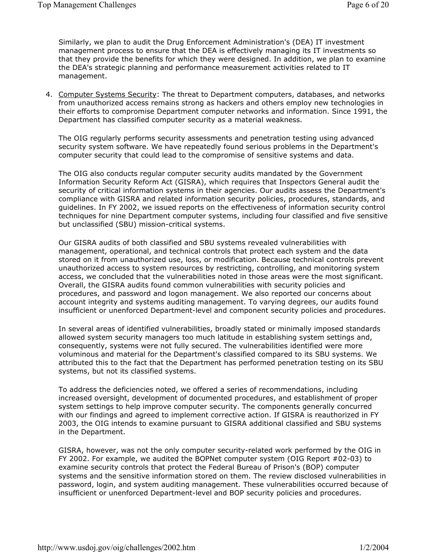Similarly, we plan to audit the Drug Enforcement Administration's (DEA) IT investment management process to ensure that the DEA is effectively managing its IT investments so that they provide the benefits for which they were designed. In addition, we plan to examine the DEA's strategic planning and performance measurement activities related to IT management.

4. Computer Systems Security: The threat to Department computers, databases, and networks from unauthorized access remains strong as hackers and others employ new technologies in their efforts to compromise Department computer networks and information. Since 1991, the Department has classified computer security as a material weakness.

The OIG regularly performs security assessments and penetration testing using advanced security system software. We have repeatedly found serious problems in the Department's computer security that could lead to the compromise of sensitive systems and data.

The OIG also conducts regular computer security audits mandated by the Government Information Security Reform Act (GISRA), which requires that Inspectors General audit the security of critical information systems in their agencies. Our audits assess the Department's compliance with GISRA and related information security policies, procedures, standards, and guidelines. In FY 2002, we issued reports on the effectiveness of information security control techniques for nine Department computer systems, including four classified and five sensitive but unclassified (SBU) mission-critical systems.

Our GISRA audits of both classified and SBU systems revealed vulnerabilities with management, operational, and technical controls that protect each system and the data stored on it from unauthorized use, loss, or modification. Because technical controls prevent unauthorized access to system resources by restricting, controlling, and monitoring system access, we concluded that the vulnerabilities noted in those areas were the most significant. Overall, the GISRA audits found common vulnerabilities with security policies and procedures, and password and logon management. We also reported our concerns about account integrity and systems auditing management. To varying degrees, our audits found insufficient or unenforced Department-level and component security policies and procedures.

In several areas of identified vulnerabilities, broadly stated or minimally imposed standards allowed system security managers too much latitude in establishing system settings and, consequently, systems were not fully secured. The vulnerabilities identified were more voluminous and material for the Department's classified compared to its SBU systems. We attributed this to the fact that the Department has performed penetration testing on its SBU systems, but not its classified systems.

To address the deficiencies noted, we offered a series of recommendations, including increased oversight, development of documented procedures, and establishment of proper system settings to help improve computer security. The components generally concurred with our findings and agreed to implement corrective action. If GISRA is reauthorized in FY 2003, the OIG intends to examine pursuant to GISRA additional classified and SBU systems in the Department.

GISRA, however, was not the only computer security-related work performed by the OIG in FY 2002. For example, we audited the BOPNet computer system (OIG Report #02-03) to examine security controls that protect the Federal Bureau of Prison's (BOP) computer systems and the sensitive information stored on them. The review disclosed vulnerabilities in password, login, and system auditing management. These vulnerabilities occurred because of insufficient or unenforced Department-level and BOP security policies and procedures.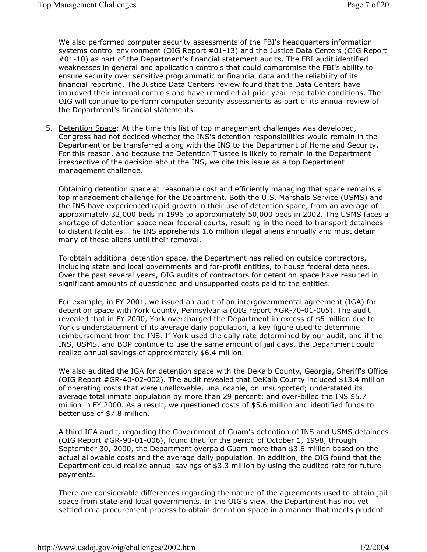We also performed computer security assessments of the FBI's headquarters information systems control environment (OIG Report #01-13) and the Justice Data Centers (OIG Report #01-10) as part of the Department's financial statement audits. The FBI audit identified weaknesses in general and application controls that could compromise the FBI's ability to ensure security over sensitive programmatic or financial data and the reliability of its financial reporting. The Justice Data Centers review found that the Data Centers have improved their internal controls and have remedied all prior year reportable conditions. The OIG will continue to perform computer security assessments as part of its annual review of the Department's financial statements.

5. Detention Space: At the time this list of top management challenges was developed, Congress had not decided whether the INS's detention responsibilities would remain in the Department or be transferred along with the INS to the Department of Homeland Security. For this reason, and because the Detention Trustee is likely to remain in the Department irrespective of the decision about the INS, we cite this issue as a top Department management challenge.

Obtaining detention space at reasonable cost and efficiently managing that space remains a top management challenge for the Department. Both the U.S. Marshals Service (USMS) and the INS have experienced rapid growth in their use of detention space, from an average of approximately 32,000 beds in 1996 to approximately 50,000 beds in 2002. The USMS faces a shortage of detention space near federal courts, resulting in the need to transport detainees to distant facilities. The INS apprehends 1.6 million illegal aliens annually and must detain many of these aliens until their removal.

To obtain additional detention space, the Department has relied on outside contractors, including state and local governments and for-profit entities, to house federal detainees. Over the past several years, OIG audits of contractors for detention space have resulted in significant amounts of questioned and unsupported costs paid to the entities.

For example, in FY 2001, we issued an audit of an intergovernmental agreement (IGA) for detention space with York County, Pennsylvania (OIG report #GR-70-01-005). The audit revealed that in FY 2000, York overcharged the Department in excess of \$6 million due to York's understatement of its average daily population, a key figure used to determine reimbursement from the INS. If York used the daily rate determined by our audit, and if the INS, USMS, and BOP continue to use the same amount of jail days, the Department could realize annual savings of approximately \$6.4 million.

We also audited the IGA for detention space with the DeKalb County, Georgia, Sheriff's Office (OIG Report #GR-40-02-002). The audit revealed that DeKalb County included \$13.4 million of operating costs that were unallowable, unallocable, or unsupported; understated its average total inmate population by more than 29 percent; and over-billed the INS \$5.7 million in FY 2000. As a result, we questioned costs of \$5.6 million and identified funds to better use of \$7.8 million.

A third IGA audit, regarding the Government of Guam's detention of INS and USMS detainees (OIG Report #GR-90-01-006), found that for the period of October 1, 1998, through September 30, 2000, the Department overpaid Guam more than \$3.6 million based on the actual allowable costs and the average daily population. In addition, the OIG found that the Department could realize annual savings of \$3.3 million by using the audited rate for future payments.

There are considerable differences regarding the nature of the agreements used to obtain jail space from state and local governments. In the OIG's view, the Department has not yet settled on a procurement process to obtain detention space in a manner that meets prudent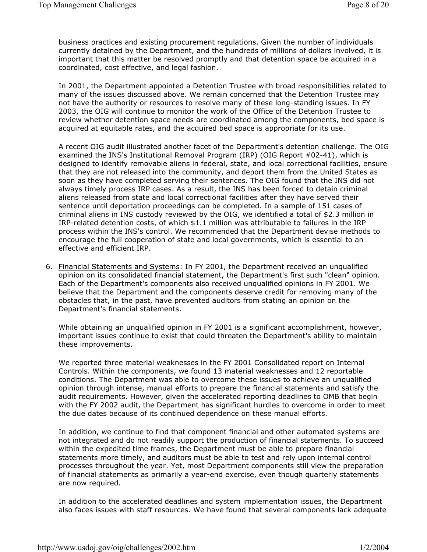business practices and existing procurement regulations. Given the number of individuals currently detained by the Department, and the hundreds of millions of dollars involved, it is important that this matter be resolved promptly and that detention space be acquired in a coordinated, cost effective, and legal fashion.

In 2001, the Department appointed a Detention Trustee with broad responsibilities related to many of the issues discussed above. We remain concerned that the Detention Trustee may not have the authority or resources to resolve many of these long-standing issues. In FY 2003, the OIG will continue to monitor the work of the Office of the Detention Trustee to review whether detention space needs are coordinated among the components, bed space is acquired at equitable rates, and the acquired bed space is appropriate for its use.

A recent OIG audit illustrated another facet of the Department's detention challenge. The OIG examined the INS's Institutional Removal Program (IRP) (OIG Report #02-41), which is designed to identify removable aliens in federal, state, and local correctional facilities, ensure that they are not released into the community, and deport them from the United States as soon as they have completed serving their sentences. The OIG found that the INS did not always timely process IRP cases. As a result, the INS has been forced to detain criminal aliens released from state and local correctional facilities after they have served their sentence until deportation proceedings can be completed. In a sample of 151 cases of criminal aliens in INS custody reviewed by the OIG, we identified a total of \$2.3 million in IRP-related detention costs, of which \$1.1 million was attributable to failures in the IRP process within the INS's control. We recommended that the Department devise methods to encourage the full cooperation of state and local governments, which is essential to an effective and efficient IRP.

6. Financial Statements and Systems: In FY 2001, the Department received an unqualified opinion on its consolidated financial statement, the Department's first such "clean" opinion. Each of the Department's components also received unqualified opinions in FY 2001. We believe that the Department and the components deserve credit for removing many of the obstacles that, in the past, have prevented auditors from stating an opinion on the Department's financial statements.

While obtaining an unqualified opinion in FY 2001 is a significant accomplishment, however, important issues continue to exist that could threaten the Department's ability to maintain these improvements.

We reported three material weaknesses in the FY 2001 Consolidated report on Internal Controls. Within the components, we found 13 material weaknesses and 12 reportable conditions. The Department was able to overcome these issues to achieve an unqualified opinion through intense, manual efforts to prepare the financial statements and satisfy the audit requirements. However, given the accelerated reporting deadlines to OMB that begin with the FY 2002 audit, the Department has significant hurdles to overcome in order to meet the due dates because of its continued dependence on these manual efforts.

In addition, we continue to find that component financial and other automated systems are not integrated and do not readily support the production of financial statements. To succeed within the expedited time frames, the Department must be able to prepare financial statements more timely, and auditors must be able to test and rely upon internal control processes throughout the year. Yet, most Department components still view the preparation of financial statements as primarily a year-end exercise, even though quarterly statements are now required.

In addition to the accelerated deadlines and system implementation issues, the Department also faces issues with staff resources. We have found that several components lack adequate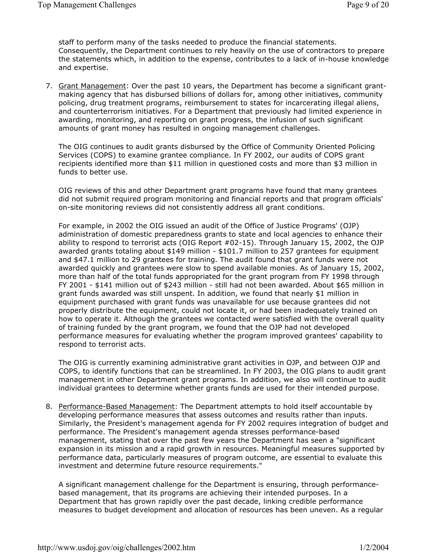staff to perform many of the tasks needed to produce the financial statements. Consequently, the Department continues to rely heavily on the use of contractors to prepare the statements which, in addition to the expense, contributes to a lack of in-house knowledge and expertise.

7. Grant Management: Over the past 10 years, the Department has become a significant grantmaking agency that has disbursed billions of dollars for, among other initiatives, community policing, drug treatment programs, reimbursement to states for incarcerating illegal aliens, and counterterrorism initiatives. For a Department that previously had limited experience in awarding, monitoring, and reporting on grant progress, the infusion of such significant amounts of grant money has resulted in ongoing management challenges.

The OIG continues to audit grants disbursed by the Office of Community Oriented Policing Services (COPS) to examine grantee compliance. In FY 2002, our audits of COPS grant recipients identified more than \$11 million in questioned costs and more than \$3 million in funds to better use.

OIG reviews of this and other Department grant programs have found that many grantees did not submit required program monitoring and financial reports and that program officials' on-site monitoring reviews did not consistently address all grant conditions.

For example, in 2002 the OIG issued an audit of the Office of Justice Programs' (OJP) administration of domestic preparedness grants to state and local agencies to enhance their ability to respond to terrorist acts (OIG Report #02-15). Through January 15, 2002, the OJP awarded grants totaling about \$149 million - \$101.7 million to 257 grantees for equipment and \$47.1 million to 29 grantees for training. The audit found that grant funds were not awarded quickly and grantees were slow to spend available monies. As of January 15, 2002, more than half of the total funds appropriated for the grant program from FY 1998 through FY 2001 - \$141 million out of \$243 million - still had not been awarded. About \$65 million in grant funds awarded was still unspent. In addition, we found that nearly \$1 million in equipment purchased with grant funds was unavailable for use because grantees did not properly distribute the equipment, could not locate it, or had been inadequately trained on how to operate it. Although the grantees we contacted were satisfied with the overall quality of training funded by the grant program, we found that the OJP had not developed performance measures for evaluating whether the program improved grantees' capability to respond to terrorist acts.

The OIG is currently examining administrative grant activities in OJP, and between OJP and COPS, to identify functions that can be streamlined. In FY 2003, the OIG plans to audit grant management in other Department grant programs. In addition, we also will continue to audit individual grantees to determine whether grants funds are used for their intended purpose.

8. Performance-Based Management: The Department attempts to hold itself accountable by developing performance measures that assess outcomes and results rather than inputs. Similarly, the President's management agenda for FY 2002 requires integration of budget and performance. The President's management agenda stresses performance-based management, stating that over the past few years the Department has seen a "significant expansion in its mission and a rapid growth in resources. Meaningful measures supported by performance data, particularly measures of program outcome, are essential to evaluate this investment and determine future resource requirements."

A significant management challenge for the Department is ensuring, through performancebased management, that its programs are achieving their intended purposes. In a Department that has grown rapidly over the past decade, linking credible performance measures to budget development and allocation of resources has been uneven. As a regular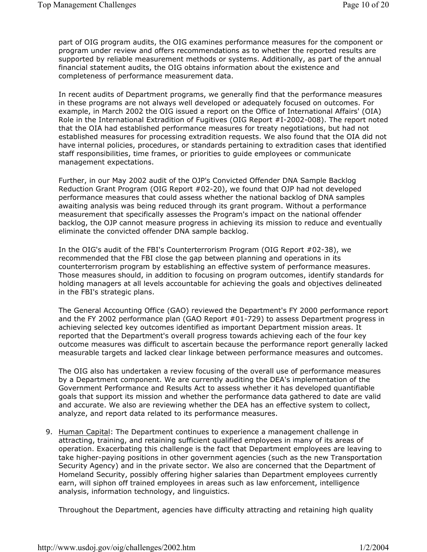part of OIG program audits, the OIG examines performance measures for the component or program under review and offers recommendations as to whether the reported results are supported by reliable measurement methods or systems. Additionally, as part of the annual financial statement audits, the OIG obtains information about the existence and completeness of performance measurement data.

In recent audits of Department programs, we generally find that the performance measures in these programs are not always well developed or adequately focused on outcomes. For example, in March 2002 the OIG issued a report on the Office of International Affairs' (OIA) Role in the International Extradition of Fugitives (OIG Report #I-2002-008). The report noted that the OIA had established performance measures for treaty negotiations, but had not established measures for processing extradition requests. We also found that the OIA did not have internal policies, procedures, or standards pertaining to extradition cases that identified staff responsibilities, time frames, or priorities to guide employees or communicate management expectations.

Further, in our May 2002 audit of the OJP's Convicted Offender DNA Sample Backlog Reduction Grant Program (OIG Report #02-20), we found that OJP had not developed performance measures that could assess whether the national backlog of DNA samples awaiting analysis was being reduced through its grant program. Without a performance measurement that specifically assesses the Program's impact on the national offender backlog, the OJP cannot measure progress in achieving its mission to reduce and eventually eliminate the convicted offender DNA sample backlog.

In the OIG's audit of the FBI's Counterterrorism Program (OIG Report #02-38), we recommended that the FBI close the gap between planning and operations in its counterterrorism program by establishing an effective system of performance measures. Those measures should, in addition to focusing on program outcomes, identify standards for holding managers at all levels accountable for achieving the goals and objectives delineated in the FBI's strategic plans.

The General Accounting Office (GAO) reviewed the Department's FY 2000 performance report and the FY 2002 performance plan (GAO Report #01-729) to assess Department progress in achieving selected key outcomes identified as important Department mission areas. It reported that the Department's overall progress towards achieving each of the four key outcome measures was difficult to ascertain because the performance report generally lacked measurable targets and lacked clear linkage between performance measures and outcomes.

The OIG also has undertaken a review focusing of the overall use of performance measures by a Department component. We are currently auditing the DEA's implementation of the Government Performance and Results Act to assess whether it has developed quantifiable goals that support its mission and whether the performance data gathered to date are valid and accurate. We also are reviewing whether the DEA has an effective system to collect, analyze, and report data related to its performance measures.

9. Human Capital: The Department continues to experience a management challenge in attracting, training, and retaining sufficient qualified employees in many of its areas of operation. Exacerbating this challenge is the fact that Department employees are leaving to take higher-paying positions in other government agencies (such as the new Transportation Security Agency) and in the private sector. We also are concerned that the Department of Homeland Security, possibly offering higher salaries than Department employees currently earn, will siphon off trained employees in areas such as law enforcement, intelligence analysis, information technology, and linguistics.

Throughout the Department, agencies have difficulty attracting and retaining high quality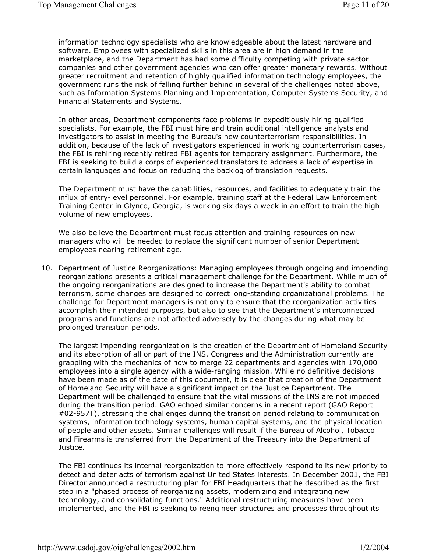information technology specialists who are knowledgeable about the latest hardware and software. Employees with specialized skills in this area are in high demand in the marketplace, and the Department has had some difficulty competing with private sector companies and other government agencies who can offer greater monetary rewards. Without greater recruitment and retention of highly qualified information technology employees, the government runs the risk of falling further behind in several of the challenges noted above, such as Information Systems Planning and Implementation, Computer Systems Security, and Financial Statements and Systems.

In other areas, Department components face problems in expeditiously hiring qualified specialists. For example, the FBI must hire and train additional intelligence analysts and investigators to assist in meeting the Bureau's new counterterrorism responsibilities. In addition, because of the lack of investigators experienced in working counterterrorism cases, the FBI is rehiring recently retired FBI agents for temporary assignment. Furthermore, the FBI is seeking to build a corps of experienced translators to address a lack of expertise in certain languages and focus on reducing the backlog of translation requests.

The Department must have the capabilities, resources, and facilities to adequately train the influx of entry-level personnel. For example, training staff at the Federal Law Enforcement Training Center in Glynco, Georgia, is working six days a week in an effort to train the high volume of new employees.

We also believe the Department must focus attention and training resources on new managers who will be needed to replace the significant number of senior Department employees nearing retirement age.

10. Department of Justice Reorganizations: Managing employees through ongoing and impending reorganizations presents a critical management challenge for the Department. While much of the ongoing reorganizations are designed to increase the Department's ability to combat terrorism, some changes are designed to correct long-standing organizational problems. The challenge for Department managers is not only to ensure that the reorganization activities accomplish their intended purposes, but also to see that the Department's interconnected programs and functions are not affected adversely by the changes during what may be prolonged transition periods.

The largest impending reorganization is the creation of the Department of Homeland Security and its absorption of all or part of the INS. Congress and the Administration currently are grappling with the mechanics of how to merge 22 departments and agencies with 170,000 employees into a single agency with a wide-ranging mission. While no definitive decisions have been made as of the date of this document, it is clear that creation of the Department of Homeland Security will have a significant impact on the Justice Department. The Department will be challenged to ensure that the vital missions of the INS are not impeded during the transition period. GAO echoed similar concerns in a recent report (GAO Report #02-957T), stressing the challenges during the transition period relating to communication systems, information technology systems, human capital systems, and the physical location of people and other assets. Similar challenges will result if the Bureau of Alcohol, Tobacco and Firearms is transferred from the Department of the Treasury into the Department of Justice.

The FBI continues its internal reorganization to more effectively respond to its new priority to detect and deter acts of terrorism against United States interests. In December 2001, the FBI Director announced a restructuring plan for FBI Headquarters that he described as the first step in a "phased process of reorganizing assets, modernizing and integrating new technology, and consolidating functions." Additional restructuring measures have been implemented, and the FBI is seeking to reengineer structures and processes throughout its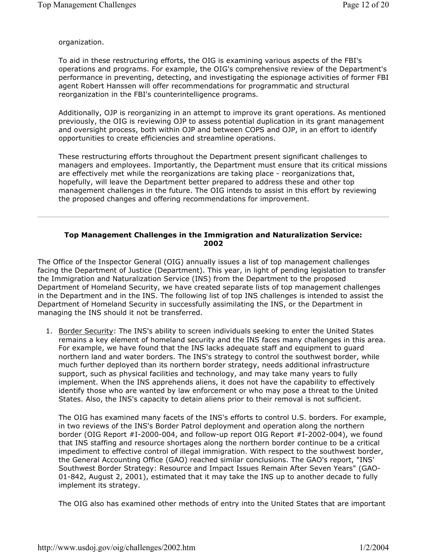organization.

To aid in these restructuring efforts, the OIG is examining various aspects of the FBI's operations and programs. For example, the OIG's comprehensive review of the Department's performance in preventing, detecting, and investigating the espionage activities of former FBI agent Robert Hanssen will offer recommendations for programmatic and structural reorganization in the FBI's counterintelligence programs.

Additionally, OJP is reorganizing in an attempt to improve its grant operations. As mentioned previously, the OIG is reviewing OJP to assess potential duplication in its grant management and oversight process, both within OJP and between COPS and OJP, in an effort to identify opportunities to create efficiencies and streamline operations.

These restructuring efforts throughout the Department present significant challenges to managers and employees. Importantly, the Department must ensure that its critical missions are effectively met while the reorganizations are taking place - reorganizations that, hopefully, will leave the Department better prepared to address these and other top management challenges in the future. The OIG intends to assist in this effort by reviewing the proposed changes and offering recommendations for improvement.

## **Top Management Challenges in the Immigration and Naturalization Service: 2002**

The Office of the Inspector General (OIG) annually issues a list of top management challenges facing the Department of Justice (Department). This year, in light of pending legislation to transfer the Immigration and Naturalization Service (INS) from the Department to the proposed Department of Homeland Security, we have created separate lists of top management challenges in the Department and in the INS. The following list of top INS challenges is intended to assist the Department of Homeland Security in successfully assimilating the INS, or the Department in managing the INS should it not be transferred.

1. Border Security: The INS's ability to screen individuals seeking to enter the United States remains a key element of homeland security and the INS faces many challenges in this area. For example, we have found that the INS lacks adequate staff and equipment to guard northern land and water borders. The INS's strategy to control the southwest border, while much further deployed than its northern border strategy, needs additional infrastructure support, such as physical facilities and technology, and may take many years to fully implement. When the INS apprehends aliens, it does not have the capability to effectively identify those who are wanted by law enforcement or who may pose a threat to the United States. Also, the INS's capacity to detain aliens prior to their removal is not sufficient.

The OIG has examined many facets of the INS's efforts to control U.S. borders. For example, in two reviews of the INS's Border Patrol deployment and operation along the northern border (OIG Report #I-2000-004, and follow-up report OIG Report #I-2002-004), we found that INS staffing and resource shortages along the northern border continue to be a critical impediment to effective control of illegal immigration. With respect to the southwest border, the General Accounting Office (GAO) reached similar conclusions. The GAO's report, "INS' Southwest Border Strategy: Resource and Impact Issues Remain After Seven Years" (GAO-01-842, August 2, 2001), estimated that it may take the INS up to another decade to fully implement its strategy.

The OIG also has examined other methods of entry into the United States that are important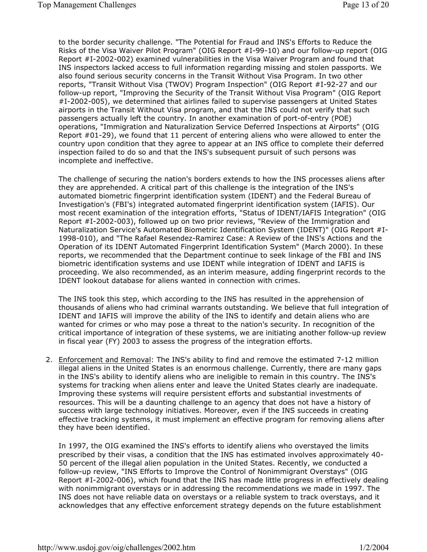to the border security challenge. "The Potential for Fraud and INS's Efforts to Reduce the Risks of the Visa Waiver Pilot Program" (OIG Report #I-99-10) and our follow-up report (OIG Report #I-2002-002) examined vulnerabilities in the Visa Waiver Program and found that INS inspectors lacked access to full information regarding missing and stolen passports. We also found serious security concerns in the Transit Without Visa Program. In two other reports, "Transit Without Visa (TWOV) Program Inspection" (OIG Report #I-92-27 and our follow-up report, "Improving the Security of the Transit Without Visa Program" (OIG Report #I-2002-005), we determined that airlines failed to supervise passengers at United States airports in the Transit Without Visa program, and that the INS could not verify that such passengers actually left the country. In another examination of port-of-entry (POE) operations, "Immigration and Naturalization Service Deferred Inspections at Airports" (OIG Report #01-29), we found that 11 percent of entering aliens who were allowed to enter the country upon condition that they agree to appear at an INS office to complete their deferred inspection failed to do so and that the INS's subsequent pursuit of such persons was incomplete and ineffective.

The challenge of securing the nation's borders extends to how the INS processes aliens after they are apprehended. A critical part of this challenge is the integration of the INS's automated biometric fingerprint identification system (IDENT) and the Federal Bureau of Investigation's (FBI's) integrated automated fingerprint identification system (IAFIS). Our most recent examination of the integration efforts, "Status of IDENT/IAFIS Integration" (OIG Report #I-2002-003), followed up on two prior reviews, "Review of the Immigration and Naturalization Service's Automated Biometric Identification System (IDENT)" (OIG Report #I-1998-010), and "The Rafael Resendez-Ramirez Case: A Review of the INS's Actions and the Operation of its IDENT Automated Fingerprint Identification System" (March 2000). In these reports, we recommended that the Department continue to seek linkage of the FBI and INS biometric identification systems and use IDENT while integration of IDENT and IAFIS is proceeding. We also recommended, as an interim measure, adding fingerprint records to the IDENT lookout database for aliens wanted in connection with crimes.

The INS took this step, which according to the INS has resulted in the apprehension of thousands of aliens who had criminal warrants outstanding. We believe that full integration of IDENT and IAFIS will improve the ability of the INS to identify and detain aliens who are wanted for crimes or who may pose a threat to the nation's security. In recognition of the critical importance of integration of these systems, we are initiating another follow-up review in fiscal year (FY) 2003 to assess the progress of the integration efforts.

2. Enforcement and Removal: The INS's ability to find and remove the estimated 7-12 million illegal aliens in the United States is an enormous challenge. Currently, there are many gaps in the INS's ability to identify aliens who are ineligible to remain in this country. The INS's systems for tracking when aliens enter and leave the United States clearly are inadequate. Improving these systems will require persistent efforts and substantial investments of resources. This will be a daunting challenge to an agency that does not have a history of success with large technology initiatives. Moreover, even if the INS succeeds in creating effective tracking systems, it must implement an effective program for removing aliens after they have been identified.

In 1997, the OIG examined the INS's efforts to identify aliens who overstayed the limits prescribed by their visas, a condition that the INS has estimated involves approximately 40- 50 percent of the illegal alien population in the United States. Recently, we conducted a follow-up review, "INS Efforts to Improve the Control of Nonimmigrant Overstays" (OIG Report #I-2002-006), which found that the INS has made little progress in effectively dealing with nonimmigrant overstays or in addressing the recommendations we made in 1997. The INS does not have reliable data on overstays or a reliable system to track overstays, and it acknowledges that any effective enforcement strategy depends on the future establishment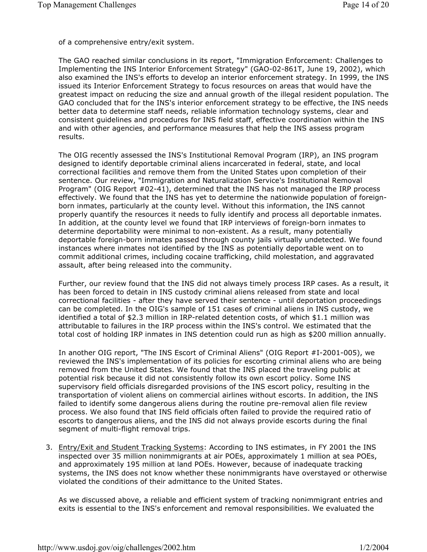of a comprehensive entry/exit system.

The GAO reached similar conclusions in its report, "Immigration Enforcement: Challenges to Implementing the INS Interior Enforcement Strategy" (GAO-02-861T, June 19, 2002), which also examined the INS's efforts to develop an interior enforcement strategy. In 1999, the INS issued its Interior Enforcement Strategy to focus resources on areas that would have the greatest impact on reducing the size and annual growth of the illegal resident population. The GAO concluded that for the INS's interior enforcement strategy to be effective, the INS needs better data to determine staff needs, reliable information technology systems, clear and consistent guidelines and procedures for INS field staff, effective coordination within the INS and with other agencies, and performance measures that help the INS assess program results.

The OIG recently assessed the INS's Institutional Removal Program (IRP), an INS program designed to identify deportable criminal aliens incarcerated in federal, state, and local correctional facilities and remove them from the United States upon completion of their sentence. Our review, "Immigration and Naturalization Service's Institutional Removal Program" (OIG Report #02-41), determined that the INS has not managed the IRP process effectively. We found that the INS has yet to determine the nationwide population of foreignborn inmates, particularly at the county level. Without this information, the INS cannot properly quantify the resources it needs to fully identify and process all deportable inmates. In addition, at the county level we found that IRP interviews of foreign-born inmates to determine deportability were minimal to non-existent. As a result, many potentially deportable foreign-born inmates passed through county jails virtually undetected. We found instances where inmates not identified by the INS as potentially deportable went on to commit additional crimes, including cocaine trafficking, child molestation, and aggravated assault, after being released into the community.

Further, our review found that the INS did not always timely process IRP cases. As a result, it has been forced to detain in INS custody criminal aliens released from state and local correctional facilities - after they have served their sentence - until deportation proceedings can be completed. In the OIG's sample of 151 cases of criminal aliens in INS custody, we identified a total of \$2.3 million in IRP-related detention costs, of which \$1.1 million was attributable to failures in the IRP process within the INS's control. We estimated that the total cost of holding IRP inmates in INS detention could run as high as \$200 million annually.

In another OIG report, "The INS Escort of Criminal Aliens" (OIG Report #I-2001-005), we reviewed the INS's implementation of its policies for escorting criminal aliens who are being removed from the United States. We found that the INS placed the traveling public at potential risk because it did not consistently follow its own escort policy. Some INS supervisory field officials disregarded provisions of the INS escort policy, resulting in the transportation of violent aliens on commercial airlines without escorts. In addition, the INS failed to identify some dangerous aliens during the routine pre-removal alien file review process. We also found that INS field officials often failed to provide the required ratio of escorts to dangerous aliens, and the INS did not always provide escorts during the final segment of multi-flight removal trips.

3. Entry/Exit and Student Tracking Systems: According to INS estimates, in FY 2001 the INS inspected over 35 million nonimmigrants at air POEs, approximately 1 million at sea POEs, and approximately 195 million at land POEs. However, because of inadequate tracking systems, the INS does not know whether these nonimmigrants have overstayed or otherwise violated the conditions of their admittance to the United States.

As we discussed above, a reliable and efficient system of tracking nonimmigrant entries and exits is essential to the INS's enforcement and removal responsibilities. We evaluated the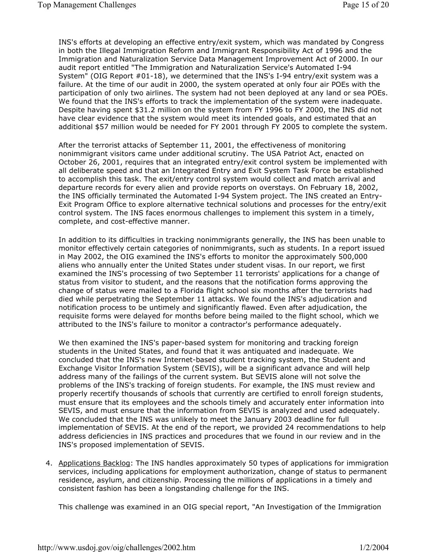INS's efforts at developing an effective entry/exit system, which was mandated by Congress in both the Illegal Immigration Reform and Immigrant Responsibility Act of 1996 and the Immigration and Naturalization Service Data Management Improvement Act of 2000. In our audit report entitled "The Immigration and Naturalization Service's Automated I-94 System" (OIG Report #01-18), we determined that the INS's I-94 entry/exit system was a failure. At the time of our audit in 2000, the system operated at only four air POEs with the participation of only two airlines. The system had not been deployed at any land or sea POEs. We found that the INS's efforts to track the implementation of the system were inadequate. Despite having spent \$31.2 million on the system from FY 1996 to FY 2000, the INS did not have clear evidence that the system would meet its intended goals, and estimated that an additional \$57 million would be needed for FY 2001 through FY 2005 to complete the system.

After the terrorist attacks of September 11, 2001, the effectiveness of monitoring nonimmigrant visitors came under additional scrutiny. The USA Patriot Act, enacted on October 26, 2001, requires that an integrated entry/exit control system be implemented with all deliberate speed and that an Integrated Entry and Exit System Task Force be established to accomplish this task. The exit/entry control system would collect and match arrival and departure records for every alien and provide reports on overstays. On February 18, 2002, the INS officially terminated the Automated I-94 System project. The INS created an Entry-Exit Program Office to explore alternative technical solutions and processes for the entry/exit control system. The INS faces enormous challenges to implement this system in a timely, complete, and cost-effective manner.

In addition to its difficulties in tracking nonimmigrants generally, the INS has been unable to monitor effectively certain categories of nonimmigrants, such as students. In a report issued in May 2002, the OIG examined the INS's efforts to monitor the approximately 500,000 aliens who annually enter the United States under student visas. In our report, we first examined the INS's processing of two September 11 terrorists' applications for a change of status from visitor to student, and the reasons that the notification forms approving the change of status were mailed to a Florida flight school six months after the terrorists had died while perpetrating the September 11 attacks. We found the INS's adjudication and notification process to be untimely and significantly flawed. Even after adjudication, the requisite forms were delayed for months before being mailed to the flight school, which we attributed to the INS's failure to monitor a contractor's performance adequately.

We then examined the INS's paper-based system for monitoring and tracking foreign students in the United States, and found that it was antiquated and inadequate. We concluded that the INS's new Internet-based student tracking system, the Student and Exchange Visitor Information System (SEVIS), will be a significant advance and will help address many of the failings of the current system. But SEVIS alone will not solve the problems of the INS's tracking of foreign students. For example, the INS must review and properly recertify thousands of schools that currently are certified to enroll foreign students, must ensure that its employees and the schools timely and accurately enter information into SEVIS, and must ensure that the information from SEVIS is analyzed and used adequately. We concluded that the INS was unlikely to meet the January 2003 deadline for full implementation of SEVIS. At the end of the report, we provided 24 recommendations to help address deficiencies in INS practices and procedures that we found in our review and in the INS's proposed implementation of SEVIS.

4. Applications Backlog: The INS handles approximately 50 types of applications for immigration services, including applications for employment authorization, change of status to permanent residence, asylum, and citizenship. Processing the millions of applications in a timely and consistent fashion has been a longstanding challenge for the INS.

This challenge was examined in an OIG special report, "An Investigation of the Immigration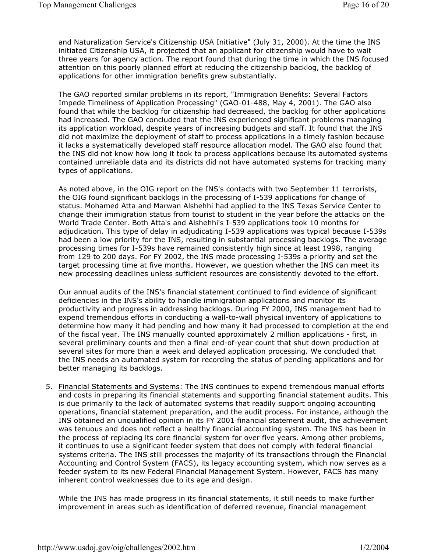and Naturalization Service's Citizenship USA Initiative" (July 31, 2000). At the time the INS initiated Citizenship USA, it projected that an applicant for citizenship would have to wait three years for agency action. The report found that during the time in which the INS focused attention on this poorly planned effort at reducing the citizenship backlog, the backlog of applications for other immigration benefits grew substantially.

The GAO reported similar problems in its report, "Immigration Benefits: Several Factors Impede Timeliness of Application Processing" (GAO-01-488, May 4, 2001). The GAO also found that while the backlog for citizenship had decreased, the backlog for other applications had increased. The GAO concluded that the INS experienced significant problems managing its application workload, despite years of increasing budgets and staff. It found that the INS did not maximize the deployment of staff to process applications in a timely fashion because it lacks a systematically developed staff resource allocation model. The GAO also found that the INS did not know how long it took to process applications because its automated systems contained unreliable data and its districts did not have automated systems for tracking many types of applications.

As noted above, in the OIG report on the INS's contacts with two September 11 terrorists, the OIG found significant backlogs in the processing of I-539 applications for change of status. Mohamed Atta and Marwan Alshehhi had applied to the INS Texas Service Center to change their immigration status from tourist to student in the year before the attacks on the World Trade Center. Both Atta's and Alshehhi's I-539 applications took 10 months for adjudication. This type of delay in adjudicating I-539 applications was typical because I-539s had been a low priority for the INS, resulting in substantial processing backlogs. The average processing times for I-539s have remained consistently high since at least 1998, ranging from 129 to 200 days. For FY 2002, the INS made processing I-539s a priority and set the target processing time at five months. However, we question whether the INS can meet its new processing deadlines unless sufficient resources are consistently devoted to the effort.

Our annual audits of the INS's financial statement continued to find evidence of significant deficiencies in the INS's ability to handle immigration applications and monitor its productivity and progress in addressing backlogs. During FY 2000, INS management had to expend tremendous efforts in conducting a wall-to-wall physical inventory of applications to determine how many it had pending and how many it had processed to completion at the end of the fiscal year. The INS manually counted approximately 2 million applications - first, in several preliminary counts and then a final end-of-year count that shut down production at several sites for more than a week and delayed application processing. We concluded that the INS needs an automated system for recording the status of pending applications and for better managing its backlogs.

5. Financial Statements and Systems: The INS continues to expend tremendous manual efforts and costs in preparing its financial statements and supporting financial statement audits. This is due primarily to the lack of automated systems that readily support ongoing accounting operations, financial statement preparation, and the audit process. For instance, although the INS obtained an unqualified opinion in its FY 2001 financial statement audit, the achievement was tenuous and does not reflect a healthy financial accounting system. The INS has been in the process of replacing its core financial system for over five years. Among other problems, it continues to use a significant feeder system that does not comply with federal financial systems criteria. The INS still processes the majority of its transactions through the Financial Accounting and Control System (FACS), its legacy accounting system, which now serves as a feeder system to its new Federal Financial Management System. However, FACS has many inherent control weaknesses due to its age and design.

While the INS has made progress in its financial statements, it still needs to make further improvement in areas such as identification of deferred revenue, financial management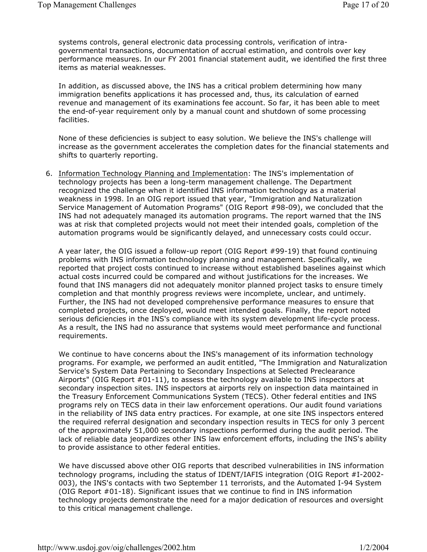systems controls, general electronic data processing controls, verification of intragovernmental transactions, documentation of accrual estimation, and controls over key performance measures. In our FY 2001 financial statement audit, we identified the first three items as material weaknesses.

In addition, as discussed above, the INS has a critical problem determining how many immigration benefits applications it has processed and, thus, its calculation of earned revenue and management of its examinations fee account. So far, it has been able to meet the end-of-year requirement only by a manual count and shutdown of some processing facilities.

None of these deficiencies is subject to easy solution. We believe the INS's challenge will increase as the government accelerates the completion dates for the financial statements and shifts to quarterly reporting.

6. Information Technology Planning and Implementation: The INS's implementation of technology projects has been a long-term management challenge. The Department recognized the challenge when it identified INS information technology as a material weakness in 1998. In an OIG report issued that year, "Immigration and Naturalization Service Management of Automation Programs" (OIG Report #98-09), we concluded that the INS had not adequately managed its automation programs. The report warned that the INS was at risk that completed projects would not meet their intended goals, completion of the automation programs would be significantly delayed, and unnecessary costs could occur.

A year later, the OIG issued a follow-up report (OIG Report #99-19) that found continuing problems with INS information technology planning and management. Specifically, we reported that project costs continued to increase without established baselines against which actual costs incurred could be compared and without justifications for the increases. We found that INS managers did not adequately monitor planned project tasks to ensure timely completion and that monthly progress reviews were incomplete, unclear, and untimely. Further, the INS had not developed comprehensive performance measures to ensure that completed projects, once deployed, would meet intended goals. Finally, the report noted serious deficiencies in the INS's compliance with its system development life-cycle process. As a result, the INS had no assurance that systems would meet performance and functional requirements.

We continue to have concerns about the INS's management of its information technology programs. For example, we performed an audit entitled, "The Immigration and Naturalization Service's System Data Pertaining to Secondary Inspections at Selected Preclearance Airports" (OIG Report #01-11), to assess the technology available to INS inspectors at secondary inspection sites. INS inspectors at airports rely on inspection data maintained in the Treasury Enforcement Communications System (TECS). Other federal entities and INS programs rely on TECS data in their law enforcement operations. Our audit found variations in the reliability of INS data entry practices. For example, at one site INS inspectors entered the required referral designation and secondary inspection results in TECS for only 3 percent of the approximately 51,000 secondary inspections performed during the audit period. The lack of reliable data jeopardizes other INS law enforcement efforts, including the INS's ability to provide assistance to other federal entities.

We have discussed above other OIG reports that described vulnerabilities in INS information technology programs, including the status of IDENT/IAFIS integration (OIG Report #I-2002- 003), the INS's contacts with two September 11 terrorists, and the Automated I-94 System (OIG Report  $#01-18$ ). Significant issues that we continue to find in INS information technology projects demonstrate the need for a major dedication of resources and oversight to this critical management challenge.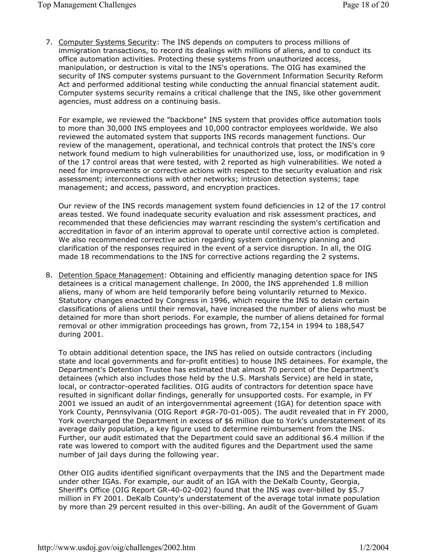7. Computer Systems Security: The INS depends on computers to process millions of immigration transactions, to record its dealings with millions of aliens, and to conduct its office automation activities. Protecting these systems from unauthorized access, manipulation, or destruction is vital to the INS's operations. The OIG has examined the security of INS computer systems pursuant to the Government Information Security Reform Act and performed additional testing while conducting the annual financial statement audit. Computer systems security remains a critical challenge that the INS, like other government agencies, must address on a continuing basis.

For example, we reviewed the "backbone" INS system that provides office automation tools to more than 30,000 INS employees and 10,000 contractor employees worldwide. We also reviewed the automated system that supports INS records management functions. Our review of the management, operational, and technical controls that protect the INS's core network found medium to high vulnerabilities for unauthorized use, loss, or modification in 9 of the 17 control areas that were tested, with 2 reported as high vulnerabilities. We noted a need for improvements or corrective actions with respect to the security evaluation and risk assessment; interconnections with other networks; intrusion detection systems; tape management; and access, password, and encryption practices.

Our review of the INS records management system found deficiencies in 12 of the 17 control areas tested. We found inadequate security evaluation and risk assessment practices, and recommended that these deficiencies may warrant rescinding the system's certification and accreditation in favor of an interim approval to operate until corrective action is completed. We also recommended corrective action regarding system contingency planning and clarification of the responses required in the event of a service disruption. In all, the OIG made 18 recommendations to the INS for corrective actions regarding the 2 systems.

8. Detention Space Management: Obtaining and efficiently managing detention space for INS detainees is a critical management challenge. In 2000, the INS apprehended 1.8 million aliens, many of whom are held temporarily before being voluntarily returned to Mexico. Statutory changes enacted by Congress in 1996, which require the INS to detain certain classifications of aliens until their removal, have increased the number of aliens who must be detained for more than short periods. For example, the number of aliens detained for formal removal or other immigration proceedings has grown, from 72,154 in 1994 to 188,547 during 2001.

To obtain additional detention space, the INS has relied on outside contractors (including state and local governments and for-profit entities) to house INS detainees. For example, the Department's Detention Trustee has estimated that almost 70 percent of the Department's detainees (which also includes those held by the U.S. Marshals Service) are held in state, local, or contractor-operated facilities. OIG audits of contractors for detention space have resulted in significant dollar findings, generally for unsupported costs. For example, in FY 2001 we issued an audit of an intergovernmental agreement (IGA) for detention space with York County, Pennsylvania (OIG Report #GR-70-01-005). The audit revealed that in FY 2000, York overcharged the Department in excess of \$6 million due to York's understatement of its average daily population, a key figure used to determine reimbursement from the INS. Further, our audit estimated that the Department could save an additional \$6.4 million if the rate was lowered to comport with the audited figures and the Department used the same number of jail days during the following year.

Other OIG audits identified significant overpayments that the INS and the Department made under other IGAs. For example, our audit of an IGA with the DeKalb County, Georgia, Sheriff's Office (OIG Report GR-40-02-002) found that the INS was over-billed by \$5.7 million in FY 2001. DeKalb County's understatement of the average total inmate population by more than 29 percent resulted in this over-billing. An audit of the Government of Guam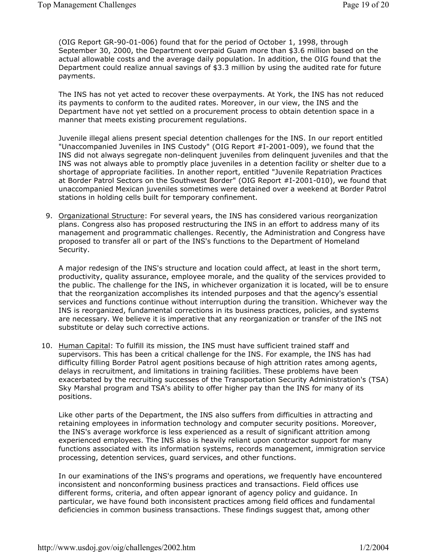(OIG Report GR-90-01-006) found that for the period of October 1, 1998, through September 30, 2000, the Department overpaid Guam more than \$3.6 million based on the actual allowable costs and the average daily population. In addition, the OIG found that the Department could realize annual savings of \$3.3 million by using the audited rate for future payments.

The INS has not yet acted to recover these overpayments. At York, the INS has not reduced its payments to conform to the audited rates. Moreover, in our view, the INS and the Department have not yet settled on a procurement process to obtain detention space in a manner that meets existing procurement regulations.

Juvenile illegal aliens present special detention challenges for the INS. In our report entitled "Unaccompanied Juveniles in INS Custody" (OIG Report #I-2001-009), we found that the INS did not always segregate non-delinquent juveniles from delinquent juveniles and that the INS was not always able to promptly place juveniles in a detention facility or shelter due to a shortage of appropriate facilities. In another report, entitled "Juvenile Repatriation Practices at Border Patrol Sectors on the Southwest Border" (OIG Report #I-2001-010), we found that unaccompanied Mexican juveniles sometimes were detained over a weekend at Border Patrol stations in holding cells built for temporary confinement.

9. Organizational Structure: For several years, the INS has considered various reorganization plans. Congress also has proposed restructuring the INS in an effort to address many of its management and programmatic challenges. Recently, the Administration and Congress have proposed to transfer all or part of the INS's functions to the Department of Homeland Security.

A major redesign of the INS's structure and location could affect, at least in the short term, productivity, quality assurance, employee morale, and the quality of the services provided to the public. The challenge for the INS, in whichever organization it is located, will be to ensure that the reorganization accomplishes its intended purposes and that the agency's essential services and functions continue without interruption during the transition. Whichever way the INS is reorganized, fundamental corrections in its business practices, policies, and systems are necessary. We believe it is imperative that any reorganization or transfer of the INS not substitute or delay such corrective actions.

10. Human Capital: To fulfill its mission, the INS must have sufficient trained staff and supervisors. This has been a critical challenge for the INS. For example, the INS has had difficulty filling Border Patrol agent positions because of high attrition rates among agents, delays in recruitment, and limitations in training facilities. These problems have been exacerbated by the recruiting successes of the Transportation Security Administration's (TSA) Sky Marshal program and TSA's ability to offer higher pay than the INS for many of its positions.

Like other parts of the Department, the INS also suffers from difficulties in attracting and retaining employees in information technology and computer security positions. Moreover, the INS's average workforce is less experienced as a result of significant attrition among experienced employees. The INS also is heavily reliant upon contractor support for many functions associated with its information systems, records management, immigration service processing, detention services, guard services, and other functions.

In our examinations of the INS's programs and operations, we frequently have encountered inconsistent and nonconforming business practices and transactions. Field offices use different forms, criteria, and often appear ignorant of agency policy and guidance. In particular, we have found both inconsistent practices among field offices and fundamental deficiencies in common business transactions. These findings suggest that, among other